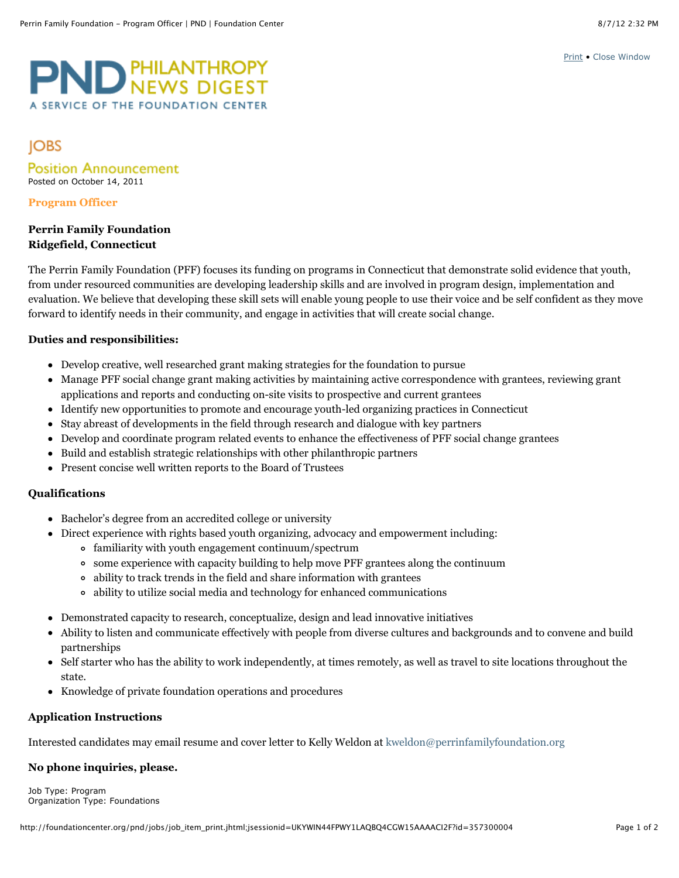[Print](javascript:window.print()) • [Close Window](javascript:window.close())

# ND PHILANTHROPY A SERVICE OF THE FOUNDATION CENTE

# **JOBS**

**Position Announcement** Posted on October 14, 2011

#### **Program Officer**

# **Perrin Family Foundation Ridgefield, Connecticut**

The Perrin Family Foundation (PFF) focuses its funding on programs in Connecticut that demonstrate solid evidence that youth, from under resourced communities are developing leadership skills and are involved in program design, implementation and evaluation. We believe that developing these skill sets will enable young people to use their voice and be self confident as they move forward to identify needs in their community, and engage in activities that will create social change.

# **Duties and responsibilities:**

- Develop creative, well researched grant making strategies for the foundation to pursue
- Manage PFF social change grant making activities by maintaining active correspondence with grantees, reviewing grant applications and reports and conducting on-site visits to prospective and current grantees
- Identify new opportunities to promote and encourage youth-led organizing practices in Connecticut
- Stay abreast of developments in the field through research and dialogue with key partners
- Develop and coordinate program related events to enhance the effectiveness of PFF social change grantees
- Build and establish strategic relationships with other philanthropic partners
- Present concise well written reports to the Board of Trustees

## **Qualifications**

- Bachelor's degree from an accredited college or university
- Direct experience with rights based youth organizing, advocacy and empowerment including:
	- familiarity with youth engagement continuum/spectrum
	- some experience with capacity building to help move PFF grantees along the continuum
	- ability to track trends in the field and share information with grantees
	- ability to utilize social media and technology for enhanced communications
- Demonstrated capacity to research, conceptualize, design and lead innovative initiatives
- Ability to listen and communicate effectively with people from diverse cultures and backgrounds and to convene and build partnerships
- Self starter who has the ability to work independently, at times remotely, as well as travel to site locations throughout the state.
- Knowledge of private foundation operations and procedures

## **Application Instructions**

Interested candidates may email resume and cover letter to Kelly Weldon at [kweldon@perrinfamilyfoundation.org](mailto:kweldon@perrinfamilyfoundation.org)

## **No phone inquiries, please.**

Job Type: Program Organization Type: Foundations